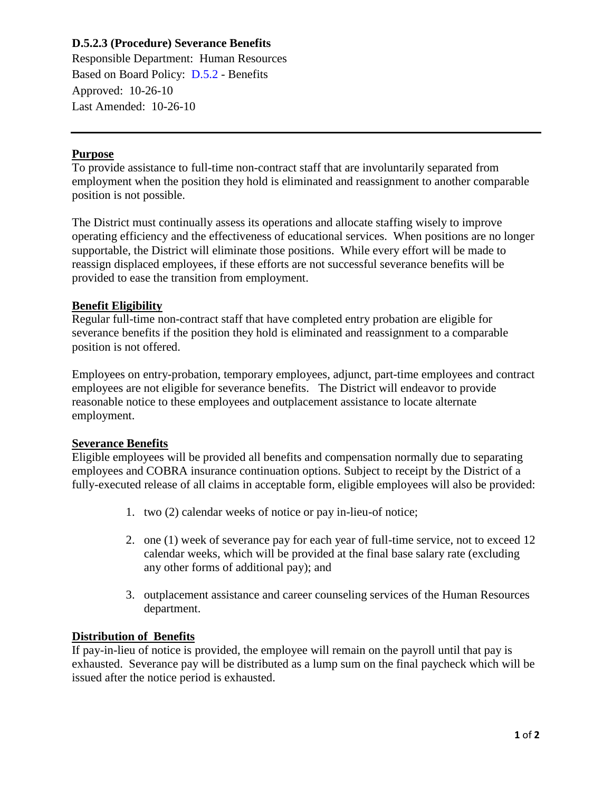# **D.5.2.3 (Procedure) Severance Benefits**

Responsible Department: Human Resources Based on Board Policy: [D.5.2](https://www.alamo.edu/siteassets/district/about-us/leadership/board-of-trustees/policies-pdfs/section-d/d.5.2-policy.pdf) - Benefits Approved: 10-26-10 Last Amended: 10-26-10

## **Purpose**

To provide assistance to full-time non-contract staff that are involuntarily separated from employment when the position they hold is eliminated and reassignment to another comparable position is not possible.

The District must continually assess its operations and allocate staffing wisely to improve operating efficiency and the effectiveness of educational services. When positions are no longer supportable, the District will eliminate those positions. While every effort will be made to reassign displaced employees, if these efforts are not successful severance benefits will be provided to ease the transition from employment.

## **Benefit Eligibility**

Regular full-time non-contract staff that have completed entry probation are eligible for severance benefits if the position they hold is eliminated and reassignment to a comparable position is not offered.

Employees on entry-probation, temporary employees, adjunct, part-time employees and contract employees are not eligible for severance benefits. The District will endeavor to provide reasonable notice to these employees and outplacement assistance to locate alternate employment.

### **Severance Benefits**

Eligible employees will be provided all benefits and compensation normally due to separating employees and COBRA insurance continuation options. Subject to receipt by the District of a fully-executed release of all claims in acceptable form, eligible employees will also be provided:

- 1. two (2) calendar weeks of notice or pay in-lieu-of notice;
- 2. one (1) week of severance pay for each year of full-time service, not to exceed 12 calendar weeks, which will be provided at the final base salary rate (excluding any other forms of additional pay); and
- 3. outplacement assistance and career counseling services of the Human Resources department.

## **Distribution of Benefits**

If pay-in-lieu of notice is provided, the employee will remain on the payroll until that pay is exhausted. Severance pay will be distributed as a lump sum on the final paycheck which will be issued after the notice period is exhausted.